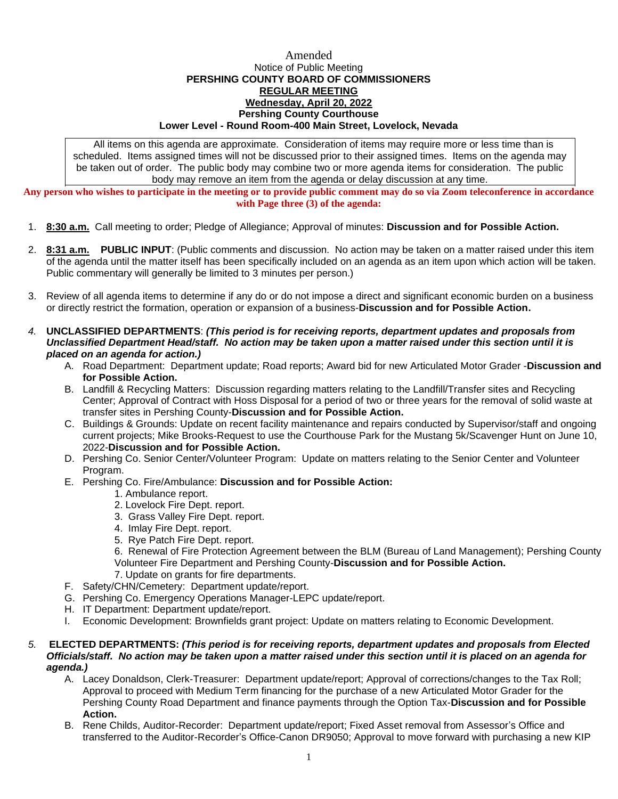## Amended Notice of Public Meeting **PERSHING COUNTY BOARD OF COMMISSIONERS REGULAR MEETING Wednesday, April 20, 2022 Pershing County Courthouse Lower Level - Round Room-400 Main Street, Lovelock, Nevada**

All items on this agenda are approximate. Consideration of items may require more or less time than is scheduled. Items assigned times will not be discussed prior to their assigned times. Items on the agenda may be taken out of order. The public body may combine two or more agenda items for consideration. The public body may remove an item from the agenda or delay discussion at any time.

**Any person who wishes to participate in the meeting or to provide public comment may do so via Zoom teleconference in accordance with Page three (3) of the agenda:**

- 1. **8:30 a.m.** Call meeting to order; Pledge of Allegiance; Approval of minutes: **Discussion and for Possible Action.**
- 2. **8:31 a.m. PUBLIC INPUT**: (Public comments and discussion. No action may be taken on a matter raised under this item of the agenda until the matter itself has been specifically included on an agenda as an item upon which action will be taken. Public commentary will generally be limited to 3 minutes per person.)
- 3. Review of all agenda items to determine if any do or do not impose a direct and significant economic burden on a business or directly restrict the formation, operation or expansion of a business-**Discussion and for Possible Action.**
- *4.* **UNCLASSIFIED DEPARTMENTS**: *(This period is for receiving reports, department updates and proposals from Unclassified Department Head/staff. No action may be taken upon a matter raised under this section until it is placed on an agenda for action.)*
	- A. Road Department: Department update; Road reports; Award bid for new Articulated Motor Grader -**Discussion and for Possible Action.**
	- B. Landfill & Recycling Matters: Discussion regarding matters relating to the Landfill/Transfer sites and Recycling Center; Approval of Contract with Hoss Disposal for a period of two or three years for the removal of solid waste at transfer sites in Pershing County-**Discussion and for Possible Action.**
	- C. Buildings & Grounds: Update on recent facility maintenance and repairs conducted by Supervisor/staff and ongoing current projects; Mike Brooks-Request to use the Courthouse Park for the Mustang 5k/Scavenger Hunt on June 10, 2022-**Discussion and for Possible Action.**
	- D. Pershing Co. Senior Center/Volunteer Program: Update on matters relating to the Senior Center and Volunteer Program.
	- E. Pershing Co. Fire/Ambulance: **Discussion and for Possible Action:**
		- 1. Ambulance report.
			- 2. Lovelock Fire Dept. report.
			- 3. Grass Valley Fire Dept. report.
			- 4. Imlay Fire Dept. report.
			- 5. Rye Patch Fire Dept. report.

6. Renewal of Fire Protection Agreement between the BLM (Bureau of Land Management); Pershing County Volunteer Fire Department and Pershing County-**Discussion and for Possible Action.**

- 7. Update on grants for fire departments.
- F. Safety/CHN/Cemetery: Department update/report.
- G. Pershing Co. Emergency Operations Manager-LEPC update/report.
- H. IT Department: Department update/report.
- I. Economic Development: Brownfields grant project: Update on matters relating to Economic Development.

## *5.* **ELECTED DEPARTMENTS:** *(This period is for receiving reports, department updates and proposals from Elected Officials/staff. No action may be taken upon a matter raised under this section until it is placed on an agenda for agenda.)*

- A. Lacey Donaldson, Clerk-Treasurer: Department update/report; Approval of corrections/changes to the Tax Roll; Approval to proceed with Medium Term financing for the purchase of a new Articulated Motor Grader for the Pershing County Road Department and finance payments through the Option Tax-**Discussion and for Possible Action.**
- B. Rene Childs, Auditor-Recorder: Department update/report; Fixed Asset removal from Assessor's Office and transferred to the Auditor-Recorder's Office-Canon DR9050; Approval to move forward with purchasing a new KIP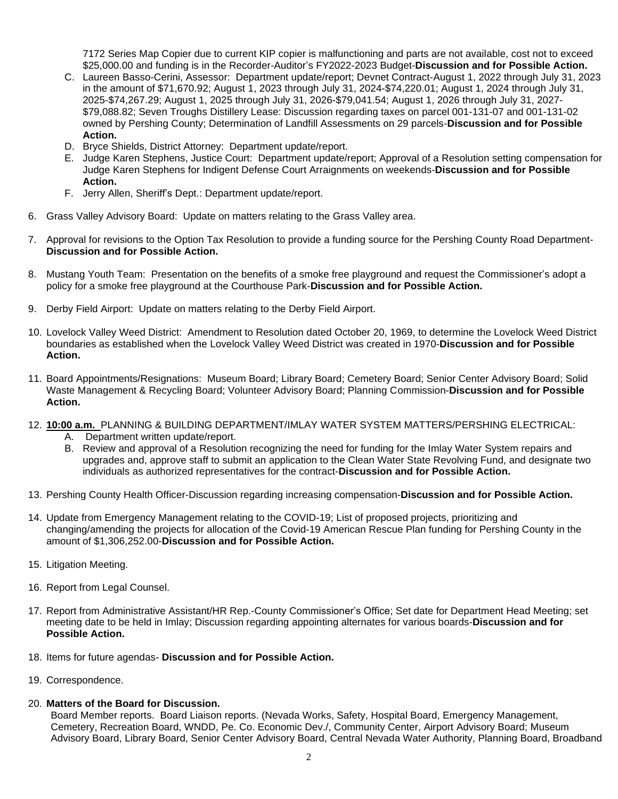7172 Series Map Copier due to current KIP copier is malfunctioning and parts are not available, cost not to exceed \$25,000.00 and funding is in the Recorder-Auditor's FY2022-2023 Budget-**Discussion and for Possible Action.**

- C. Laureen Basso-Cerini, Assessor: Department update/report; Devnet Contract-August 1, 2022 through July 31, 2023 in the amount of \$71,670.92; August 1, 2023 through July 31, 2024-\$74,220.01; August 1, 2024 through July 31, 2025-\$74,267.29; August 1, 2025 through July 31, 2026-\$79,041.54; August 1, 2026 through July 31, 2027- \$79,088.82; Seven Troughs Distillery Lease: Discussion regarding taxes on parcel 001-131-07 and 001-131-02 owned by Pershing County; Determination of Landfill Assessments on 29 parcels-**Discussion and for Possible Action.**
- D. Bryce Shields, District Attorney: Department update/report.
- E. Judge Karen Stephens, Justice Court: Department update/report; Approval of a Resolution setting compensation for Judge Karen Stephens for Indigent Defense Court Arraignments on weekends-**Discussion and for Possible Action.**
- F. Jerry Allen, Sheriff's Dept.: Department update/report.
- 6. Grass Valley Advisory Board: Update on matters relating to the Grass Valley area.
- 7. Approval for revisions to the Option Tax Resolution to provide a funding source for the Pershing County Road Department-**Discussion and for Possible Action.**
- 8. Mustang Youth Team: Presentation on the benefits of a smoke free playground and request the Commissioner's adopt a policy for a smoke free playground at the Courthouse Park-**Discussion and for Possible Action.**
- 9. Derby Field Airport: Update on matters relating to the Derby Field Airport.
- 10. Lovelock Valley Weed District: Amendment to Resolution dated October 20, 1969, to determine the Lovelock Weed District boundaries as established when the Lovelock Valley Weed District was created in 1970-**Discussion and for Possible Action.**
- 11. Board Appointments/Resignations: Museum Board; Library Board; Cemetery Board; Senior Center Advisory Board; Solid Waste Management & Recycling Board; Volunteer Advisory Board; Planning Commission-**Discussion and for Possible Action.**
- 12. **10:00 a.m.** PLANNING & BUILDING DEPARTMENT/IMLAY WATER SYSTEM MATTERS/PERSHING ELECTRICAL:
	- A. Department written update/report.
	- B. Review and approval of a Resolution recognizing the need for funding for the Imlay Water System repairs and upgrades and, approve staff to submit an application to the Clean Water State Revolving Fund, and designate two individuals as authorized representatives for the contract-**Discussion and for Possible Action.**
- 13. Pershing County Health Officer-Discussion regarding increasing compensation-**Discussion and for Possible Action.**
- 14. Update from Emergency Management relating to the COVID-19; List of proposed projects, prioritizing and changing/amending the projects for allocation of the Covid-19 American Rescue Plan funding for Pershing County in the amount of \$1,306,252.00-**Discussion and for Possible Action.**
- 15. Litigation Meeting.
- 16. Report from Legal Counsel.
- 17. Report from Administrative Assistant/HR Rep.-County Commissioner's Office; Set date for Department Head Meeting; set meeting date to be held in Imlay; Discussion regarding appointing alternates for various boards-**Discussion and for Possible Action.**
- 18. Items for future agendas- **Discussion and for Possible Action.**
- 19. Correspondence.

## 20. **Matters of the Board for Discussion.**

Board Member reports. Board Liaison reports. (Nevada Works, Safety, Hospital Board, Emergency Management, Cemetery, Recreation Board, WNDD, Pe. Co. Economic Dev./, Community Center, Airport Advisory Board; Museum Advisory Board, Library Board, Senior Center Advisory Board, Central Nevada Water Authority, Planning Board, Broadband